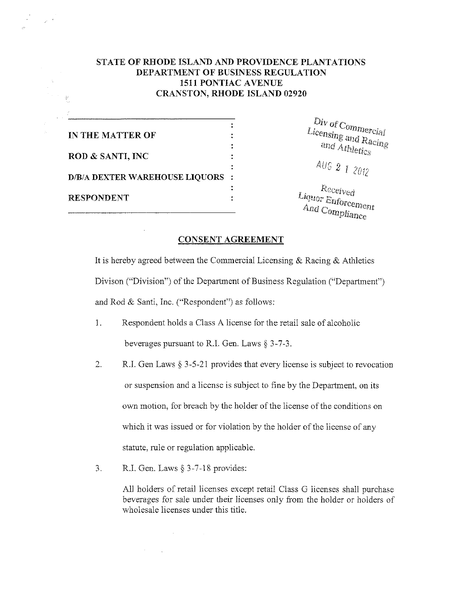## STATE OF RHODE ISLAND AND PROVIDENCE PLANTATIONS DEPARTMENT OF BUSINESS REGULATION 1511 PONTIAC AVENUE CRANSTON, RHODE ISLAND 02920

 $\ddot{\cdot}$  $\ddot{\cdot}$ 

 $\ddot{\cdot}$ 

 $\ddot{\cdot}$ IN THE MATTER OF ROD & SANTI, INC D/B/A DEXTER WAREHOUSE LIQUORS : RESPONDENT :  $Liquor Enforcement$ <br> $A_{nd} \sim c_{2m}$ .

أعاليان

Licensin<sub>g</sub> and *r* Div of Commercial<br>icensing and *Racing*<br>and *Athletics* 

*• AUG* 2 1 2012

And Compliance

## CONSENT AGREEMENT

It is hereby agreed between the Commercial Licensing & Racing & Athletics Divison ("Division") of the Department of Business Regulation ("Department") and Rod & Santi, Inc. ("Respondent") as follows:

- 1. Respondent holds a Class A license for the retail sale of alcoholic beverages pursuant to R.I. Gen. Laws § 3-7-3.
- 2. R.I. Gen Laws § 3-5-21 provides that every license is subject to revocation or suspension and a license is subject to fine by the Department, on its own motion, for breach by the holder of the license of the conditions on which it was issued or for violation by the holder of the license of any statute, rule or regulation applicable.
- 3. R.I. Gen. Laws § 3-7-18 provides:

 $\mathcal{O}(\mathcal{O}(\log n))$ 

 $\mathcal{L}(\mathbf{A})$  and  $\mathcal{L}(\mathbf{A})$  and  $\mathcal{L}(\mathbf{A})$ 

All holders of retail licenses except retail Class G licenses shall purchase beverages for sale under their licenses only from the holder or holders of wholesale licenses under this title.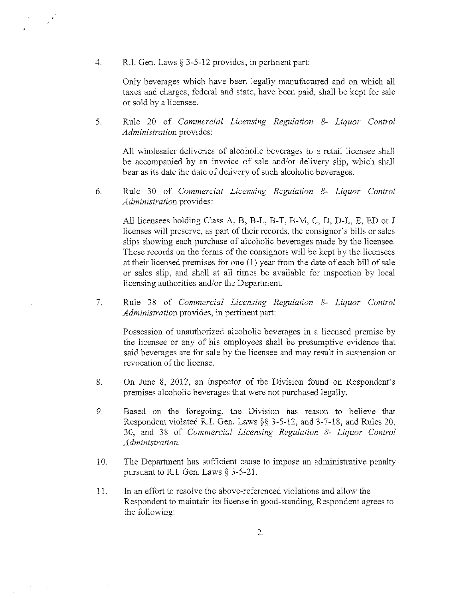4. R.I. Gen. Laws § 3-5-12 provides, in pertinent part:

 $\label{eq:3} \begin{array}{c} \mathcal{L}_{\mathcal{P}} \left( \mathcal{P} \right) \end{array}$ 

 $\mathcal{I}^{\mathcal{I}}$  , where  $\mathcal{I}^{\mathcal{I}}$ 

Only beverages which have been legally manufactured and on which all taxes and charges, federal and state, have been paid, shall be kept for sale or sold by a licensee.

5. Rule 20 of *Commercial Licensing Regulation 8- Liquor Control Administration* provides:

All wholesaler deliveries of alcoholic beverages to a retail licensee shall be accompanied by an invoice of sale and/or delivery slip, which shall bear as its date the date of delivery of such alcoholic beverages.

6. Rule 30 of *Commercial Licensing Regulation 8- Liquor Control Administration* provides:

All licensees holding Class A, B, B-L, B-T, B-M, C, D, D-L, E, ED or I licenses will preserve, as part of their records, the consignor's bills or sales slips showing each purchase of alcoholic beverages made by the licensee. These records on the forms of the consignors will be kept by the licensees at their licensed premises for one {1) year from the date of each bill of sale or sales slip, and shall at all times be available for inspection by local licensing authorities and/or the Department.

7. Rule 38 of *Commercial Licensing Regulation 8- Liquor Control Administration* provides, in pertinent part:

Possession of unauthorized alcoholic beverages in a licensed premise by the licensee or any of his employees shall be presumptive evidence that said beverages are for sale by the licensee and may result in suspension or revocation of the license.

- 8. On June 8, 2012, an inspector of the Division found on Respondent's premises alcoholic beverages that were not purchased legally.
- 9. Based on the foregoing, the Division has reason to believe that Respondent violated R.I. Gen. Laws §§ 3-5-12, and 3-7-18, and Rules 20, 30, and 38 of *Commercial Licensing Regulation 8- Liquor Control Administration.*
- 10. The Department has sufficient cause to impose an administrative penalty pursuant to R.I. Gen. Laws § 3-5-21.
- 11. In an effort to resolve the above-referenced violations and allow the Respondent to maintain its license in good-standing, Respondent agrees to the following: